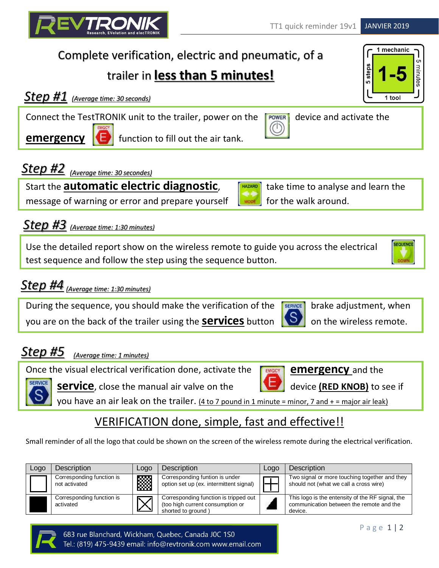# Complete verification, electric and pneumatic, of a

# trailer in **less than 5 minutes!**

Connect the TestTRONIK unit to the trailer, power on the rewer device and activate the

Start the **automatic electric diagnostic**, **THAZARD** take time to analyse and learn the

## *(Average time: 30 seconds) Step #1*

message of warning or error and prepare yourself  $\Box$  Mode for the walk around.

**emergency d** function to fill out the air tank.

### *Step #3 (Average time: 1:30 minutes)*

*Step #2 (Average time: 30 secondes)*

Use the detailed report show on the wireless remote to guide you across the electrical test sequence and follow the step using the sequence button.

# *(Average time: 1:30 minutes) Step #4*

During the sequence, you should make the verification of the  $\sqrt{\frac{SENICE}{SENICE}}$  brake adjustment, when you are on the back of the trailer using the **services** button **S** on the wireless remote.

#### *Step #5 (Average time: 1 minutes)*

Once the visual electrical verification done, activate the **FEMAGCY** and the

**service**, close the manual air valve on the device **(RED KNOB)** to see if

you have an air leak on the trailer.  $(4 \text{ to } 7 \text{ pound in } 1 \text{ minute} = \text{minor}, 7 \text{ and } += \text{major air leak}$ 

### VERIFICATION done, simple, fast and effective!!

Small reminder of all the logo that could be shown on the screen of the wireless remote during the electrical verification.

| Logo | <b>Description</b>                         | Logo | Description                                                                                     | Logo | <b>Description</b>                                                                                      |
|------|--------------------------------------------|------|-------------------------------------------------------------------------------------------------|------|---------------------------------------------------------------------------------------------------------|
|      | Corresponding function is<br>not activated | ▩    | Corresponding funtion is under<br>option set up (ex. intermittent signal)                       |      | Two signal or more touching together and they<br>should not (what we call a cross wire)                 |
|      | Corresponding function is<br>activated     |      | Corresponding function is tripped out<br>(too high current consumption or<br>shorted to ground) |      | This logo is the entensity of the RF signal, the<br>communication between the remote and the<br>device. |

# 1 mechanic 5 steps  $1<sub>too</sub>$







*TRO* 



 $($ 







**SERVICE** 



**SEQUENCE** 

P a g e 1 | 2